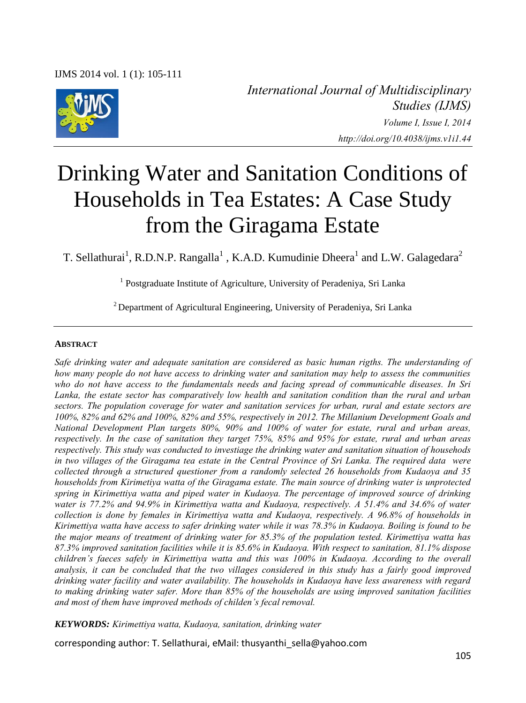

*International Journal of Multidisciplinary Studies (IJMS) Volume I, Issue I, 2014 http://doi.org/10.4038/ijms.v1i1.44* 

# Drinking Water and Sanitation Conditions of Households in Tea Estates: A Case Study from the Giragama Estate

T. Sellathurai<sup>1</sup>, R.D.N.P. Rangalla<sup>1</sup>, K.A.D. Kumudinie Dheera<sup>1</sup> and L.W. Galagedara<sup>2</sup>

<sup>1</sup> Postgraduate Institute of Agriculture, University of Peradeniya, Sri Lanka

<sup>2</sup> Department of Agricultural Engineering, University of Peradeniya, Sri Lanka

#### **ABSTRACT**

*Safe drinking water and adequate sanitation are considered as basic human rigths. The understanding of how many people do not have access to drinking water and sanitation may help to assess the communities who do not have access to the fundamentals needs and facing spread of communicable diseases. In Sri Lanka, the estate sector has comparatively low health and sanitation condition than the rural and urban sectors. The population coverage for water and sanitation services for urban, rural and estate sectors are 100%, 82% and 62% and 100%, 82% and 55%, respectively in 2012. The Millanium Development Goals and National Development Plan targets 80%, 90% and 100% of water for estate, rural and urban areas, respectively. In the case of sanitation they target 75%, 85% and 95% for estate, rural and urban areas respectively. This study was conducted to investiage the drinking water and sanitation situation of househods in two villages of the Giragama tea estate in the Central Province of Sri Lanka. The required data were collected through a structured questioner from a randomly selected 26 households from Kudaoya and 35 households from Kirimetiya watta of the Giragama estate. The main source of drinking water is unprotected spring in Kirimettiya watta and piped water in Kudaoya. The percentage of improved source of drinking water is 77.2% and 94.9% in Kirimettiya watta and Kudaoya, respectively. A 51.4% and 34.6% of water collection is done by females in Kirimettiya watta and Kudaoya, respectively. A 96.8% of households in Kirimettiya watta have access to safer drinking water while it was 78.3% in Kudaoya. Boiling is found to be the major means of treatment of drinking water for 85.3% of the population tested. Kirimettiya watta has 87.3% improved sanitation facilities while it is 85.6% in Kudaoya. With respect to sanitation, 81.1% dispose children's faeces safely in Kirimettiya watta and this was 100% in Kudaoya. According to the overall analysis, it can be concluded that the two villages considered in this study has a fairly good improved drinking water facility and water availability. The households in Kudaoya have less awareness with regard to making drinking water safer. More than 85% of the households are using improved sanitation facilities and most of them have improved methods of childen's fecal removal.*

*KEYWORDS: Kirimettiya watta, Kudaoya, sanitation, drinking water* 

corresponding author: T. Sellathurai, eMail: thusyanthi\_sella@yahoo.com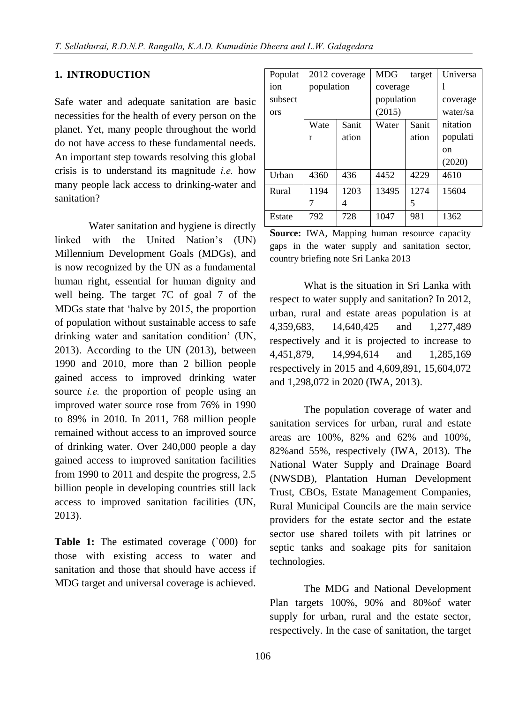#### **1. INTRODUCTION**

Safe water and adequate sanitation are basic necessities for the health of every person on the planet. Yet, many people throughout the world do not have access to these fundamental needs. An important step towards resolving this global crisis is to understand its magnitude *i.e.* how many people lack access to drinking-water and sanitation?

Water sanitation and hygiene is directly linked with the United Nation's (UN) Millennium Development Goals (MDGs), and is now recognized by the UN as a fundamental human right, essential for human dignity and well being. The target 7C of goal 7 of the MDGs state that 'halve by 2015, the proportion of population without sustainable access to safe drinking water and sanitation condition' (UN, 2013). According to the UN (2013), between 1990 and 2010, more than 2 billion people gained access to improved drinking water source *i.e.* the proportion of people using an improved water source rose from 76% in 1990 to 89% in 2010. In 2011, 768 million people remained without access to an improved source of drinking water. Over 240,000 people a day gained access to improved sanitation facilities from 1990 to 2011 and despite the progress, 2.5 billion people in developing countries still lack access to improved sanitation facilities (UN, 2013).

Table 1: The estimated coverage (`000) for those with existing access to water and sanitation and those that should have access if MDG target and universal coverage is achieved.

| Populat    |            | 2012 coverage | <b>MDG</b> | target | Universa |
|------------|------------|---------------|------------|--------|----------|
| ion        | population |               | coverage   |        |          |
| subsect    |            |               | population |        | coverage |
| <b>ors</b> |            |               | (2015)     |        | water/sa |
|            | Wate       | Sanit         | Water      | Sanit  | nitation |
|            | r          | ation         |            | ation  | populati |
|            |            |               |            |        | on       |
|            |            |               |            |        | (2020)   |
| Urban      | 4360       | 436           | 4452       | 4229   | 4610     |
| Rural      | 1194       | 1203          | 13495      | 1274   | 15604    |
|            |            | 4             |            | 5      |          |
| Estate     | 792        | 728           | 1047       | 981    | 1362     |

**Source:** IWA, Mapping human resource capacity gaps in the water supply and sanitation sector, country briefing note Sri Lanka 2013

What is the situation in Sri Lanka with respect to water supply and sanitation? In 2012, urban, rural and estate areas population is at 4,359,683, 14,640,425 and 1,277,489 respectively and it is projected to increase to 4,451,879, 14,994,614 and 1,285,169 respectively in 2015 and 4,609,891, 15,604,072 and 1,298,072 in 2020 (IWA, 2013).

The population coverage of water and sanitation services for urban, rural and estate areas are 100%, 82% and 62% and 100%, 82%and 55%, respectively (IWA, 2013). The National Water Supply and Drainage Board (NWSDB), Plantation Human Development Trust, CBOs, Estate Management Companies, Rural Municipal Councils are the main service providers for the estate sector and the estate sector use shared toilets with pit latrines or septic tanks and soakage pits for sanitaion technologies.

The MDG and National Development Plan targets 100%, 90% and 80%of water supply for urban, rural and the estate sector, respectively. In the case of sanitation, the target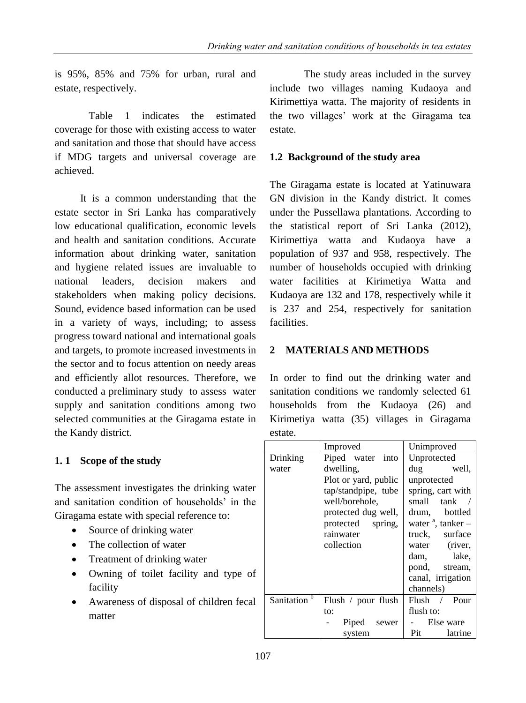is 95%, 85% and 75% for urban, rural and estate, respectively.

Table 1 indicates the estimated coverage for those with existing access to water and sanitation and those that should have access if MDG targets and universal coverage are achieved.

It is a common understanding that the estate sector in Sri Lanka has comparatively low educational qualification, economic levels and health and sanitation conditions. Accurate information about drinking water, sanitation and hygiene related issues are invaluable to national leaders, decision makers and stakeholders when making policy decisions. Sound, evidence based information can be used in a variety of ways, including; to assess progress toward national and international goals and targets, to promote increased investments in the sector and to focus attention on needy areas and efficiently allot resources. Therefore, we conducted a preliminary study to assess water supply and sanitation conditions among two selected communities at the Giragama estate in the Kandy district.

# **1. 1 Scope of the study**

The assessment investigates the drinking water and sanitation condition of households' in the Giragama estate with special reference to:

- Source of drinking water
- The collection of water
- Treatment of drinking water
- Owning of toilet facility and type of facility
- Awareness of disposal of children fecal matter

The study areas included in the survey include two villages naming Kudaoya and Kirimettiya watta. The majority of residents in the two villages' work at the Giragama tea estate.

## **1.2 Background of the study area**

The Giragama estate is located at Yatinuwara GN division in the Kandy district. It comes under the Pussellawa plantations. According to the statistical report of Sri Lanka (2012), Kirimettiya watta and Kudaoya have a population of 937 and 958, respectively. The number of households occupied with drinking water facilities at Kirimetiya Watta and Kudaoya are 132 and 178, respectively while it is 237 and 254, respectively for sanitation facilities.

# **2 MATERIALS AND METHODS**

In order to find out the drinking water and sanitation conditions we randomly selected 61 households from the Kudaoya (26) and Kirimetiya watta (35) villages in Giragama estate.

|                         | Improved                            | Unimproved                |  |
|-------------------------|-------------------------------------|---------------------------|--|
| Drinking                | Piped water into                    | Unprotected               |  |
| water                   | dwelling.                           | dug well,                 |  |
|                         | Plot or yard, public<br>unprotected |                           |  |
|                         | tap/standpipe, tube                 | spring, cart with         |  |
|                         | well/borehole,                      | small tank /              |  |
|                         | protected dug well,                 | drum, bottled             |  |
|                         | protected spring,                   | water $\alpha$ , tanker – |  |
|                         | rainwater                           | truck, surface            |  |
|                         | collection                          | water (river,             |  |
|                         |                                     | dam, lake,                |  |
|                         |                                     | pond, stream,             |  |
|                         | canal, irrigation                   |                           |  |
|                         |                                     | channels)                 |  |
| Sanitation <sup>b</sup> | Flush / pour flush                  | Flush / Pour              |  |
|                         | to:                                 | flush to:                 |  |
|                         | Piped sewer                         | Else ware                 |  |
|                         | system                              | Pit latrine               |  |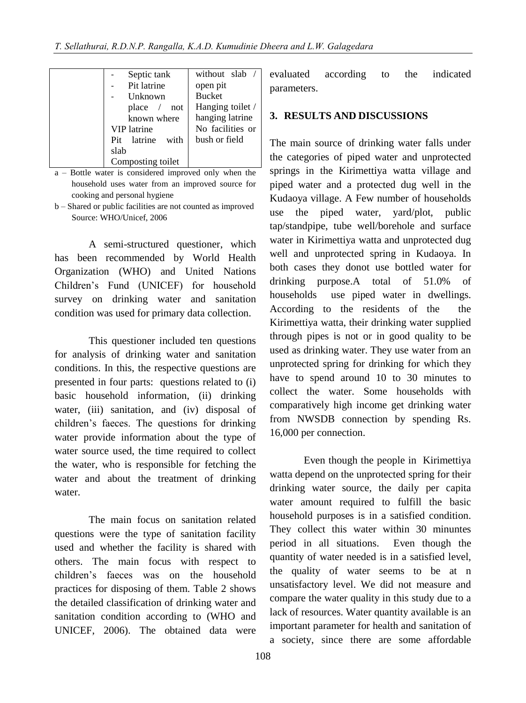| Septic tank         | without slab     |
|---------------------|------------------|
| Pit latrine         | open pit         |
| Unknown             | <b>Bucket</b>    |
| place /<br>not      | Hanging toilet / |
| known where         | hanging latrine  |
| VIP latrine         | No facilities or |
| Pit latrine<br>with | bush or field    |
| slab                |                  |
| Composting toilet   |                  |

- a Bottle water is considered improved only when the household uses water from an improved source for cooking and personal hygiene
- b Shared or public facilities are not counted as improved Source: WHO/Unicef, 2006

A semi-structured questioner, which has been recommended by World Health Organization (WHO) and United Nations Children's Fund (UNICEF) for household survey on drinking water and sanitation condition was used for primary data collection.

This questioner included ten questions for analysis of drinking water and sanitation conditions. In this, the respective questions are presented in four parts: questions related to (i) basic household information, (ii) drinking water, (iii) sanitation, and (iv) disposal of children's faeces. The questions for drinking water provide information about the type of water source used, the time required to collect the water, who is responsible for fetching the water and about the treatment of drinking water.

The main focus on sanitation related questions were the type of sanitation facility used and whether the facility is shared with others. The main focus with respect to children's faeces was on the household practices for disposing of them. Table 2 shows the detailed classification of drinking water and sanitation condition according to (WHO and UNICEF, 2006). The obtained data were evaluated according to the indicated parameters.

#### **3. RESULTS AND DISCUSSIONS**

The main source of drinking water falls under the categories of piped water and unprotected springs in the Kirimettiya watta village and piped water and a protected dug well in the Kudaoya village. A Few number of households use the piped water, yard/plot, public tap/standpipe, tube well/borehole and surface water in Kirimettiya watta and unprotected dug well and unprotected spring in Kudaoya. In both cases they donot use bottled water for drinking purpose.A total of 51.0% of households use piped water in dwellings. According to the residents of the the Kirimettiya watta, their drinking water supplied through pipes is not or in good quality to be used as drinking water. They use water from an unprotected spring for drinking for which they have to spend around 10 to 30 minutes to collect the water. Some households with comparatively high income get drinking water from NWSDB connection by spending Rs. 16,000 per connection.

Even though the people in Kirimettiya watta depend on the unprotected spring for their drinking water source, the daily per capita water amount required to fulfill the basic household purposes is in a satisfied condition. They collect this water within 30 minuntes period in all situations. Even though the quantity of water needed is in a satisfied level, the quality of water seems to be at n unsatisfactory level. We did not measure and compare the water quality in this study due to a lack of resources. Water quantity available is an important parameter for health and sanitation of a society, since there are some affordable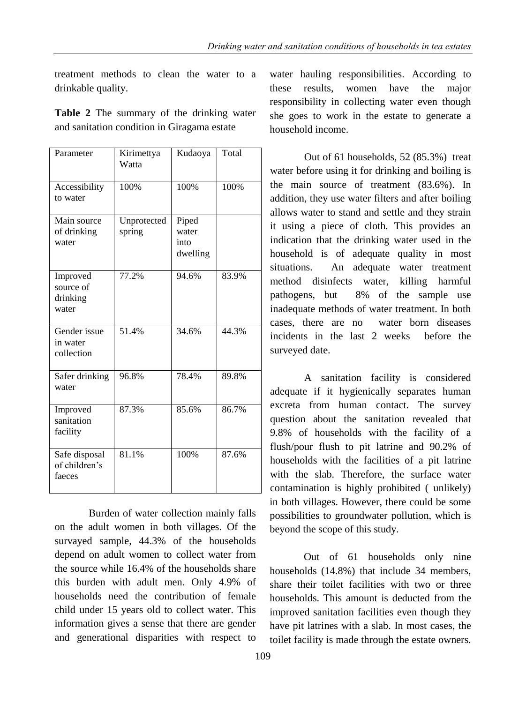treatment methods to clean the water to a drinkable quality.

**Table 2** The summary of the drinking water and sanitation condition in Giragama estate

| Parameter                                  | Kirimettya<br>Watta   | Kudaoya                            | Total |
|--------------------------------------------|-----------------------|------------------------------------|-------|
| Accessibility<br>to water                  | 100%                  | 100%                               | 100%  |
| Main source<br>of drinking<br>water        | Unprotected<br>spring | Piped<br>water<br>into<br>dwelling |       |
| Improved<br>source of<br>drinking<br>water | 77.2%                 | 94.6%                              | 83.9% |
| Gender issue<br>in water<br>collection     | 51.4%                 | 34.6%                              | 44.3% |
| Safer drinking<br>water                    | 96.8%                 | 78.4%                              | 89.8% |
| Improved<br>sanitation<br>facility         | 87.3%                 | 85.6%                              | 86.7% |
| Safe disposal<br>of children's<br>faeces   | 81.1%                 | 100%                               | 87.6% |

Burden of water collection mainly falls on the adult women in both villages. Of the survayed sample, 44.3% of the households depend on adult women to collect water from the source while 16.4% of the households share this burden with adult men. Only 4.9% of households need the contribution of female child under 15 years old to collect water. This information gives a sense that there are gender and generational disparities with respect to

water hauling responsibilities. According to these results, women have the major responsibility in collecting water even though she goes to work in the estate to generate a household income.

Out of 61 households, 52 (85.3%) treat water before using it for drinking and boiling is the main source of treatment (83.6%). In addition, they use water filters and after boiling allows water to stand and settle and they strain it using a piece of cloth. This provides an indication that the drinking water used in the household is of adequate quality in most situations. An adequate water treatment method disinfects water, killing harmful pathogens, but 8% of the sample use inadequate methods of water treatment. In both cases, there are no water born diseases incidents in the last 2 weeks before the surveyed date.

A sanitation facility is considered adequate if it hygienically separates human excreta from human contact. The survey question about the sanitation revealed that 9.8% of households with the facility of a flush/pour flush to pit latrine and 90.2% of households with the facilities of a pit latrine with the slab. Therefore, the surface water contamination is highly prohibited ( unlikely) in both villages. However, there could be some possibilities to groundwater pollution, which is beyond the scope of this study.

Out of 61 households only nine households (14.8%) that include 34 members, share their toilet facilities with two or three households. This amount is deducted from the improved sanitation facilities even though they have pit latrines with a slab. In most cases, the toilet facility is made through the estate owners.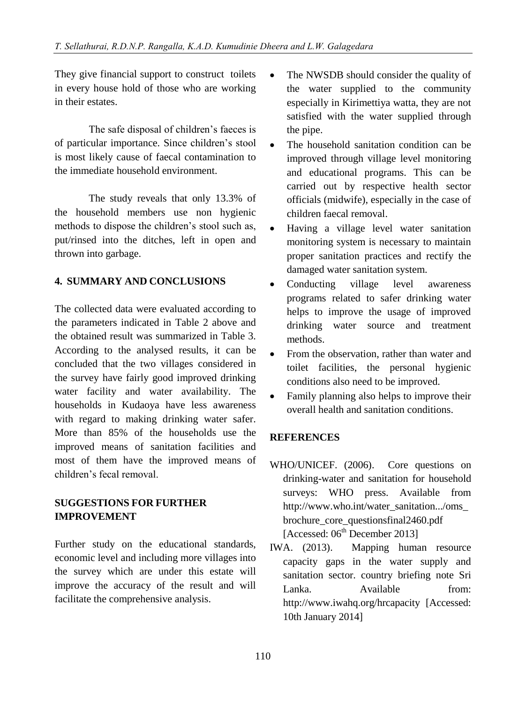They give financial support to construct toilets in every house hold of those who are working in their estates.

The safe disposal of children's faeces is of particular importance. Since children's stool is most likely cause of faecal contamination to the immediate household environment.

The study reveals that only 13.3% of the household members use non hygienic methods to dispose the children's stool such as, put/rinsed into the ditches, left in open and thrown into garbage.

### **4. SUMMARY AND CONCLUSIONS**

The collected data were evaluated according to the parameters indicated in Table 2 above and the obtained result was summarized in Table 3. According to the analysed results, it can be concluded that the two villages considered in the survey have fairly good improved drinking water facility and water availability. The households in Kudaoya have less awareness with regard to making drinking water safer. More than 85% of the households use the improved means of sanitation facilities and most of them have the improved means of children's fecal removal.

## **SUGGESTIONS FOR FURTHER IMPROVEMENT**

Further study on the educational standards, economic level and including more villages into the survey which are under this estate will improve the accuracy of the result and will facilitate the comprehensive analysis.

- The NWSDB should consider the quality of the water supplied to the community especially in Kirimettiya watta, they are not satisfied with the water supplied through the pipe.
- The household sanitation condition can be improved through village level monitoring and educational programs. This can be carried out by respective health sector officials (midwife), especially in the case of children faecal removal.
- Having a village level water sanitation monitoring system is necessary to maintain proper sanitation practices and rectify the damaged water sanitation system.
- Conducting village level awareness programs related to safer drinking water helps to improve the usage of improved drinking water source and treatment methods.
- From the observation, rather than water and toilet facilities, the personal hygienic conditions also need to be improved.
- Family planning also helps to improve their overall health and sanitation conditions.

### **REFERENCES**

- WHO/UNICEF. (2006). Core questions on drinking-water and sanitation for household surveys: WHO press. Available from [http://www.who.int/water\\_sanitation.../oms\\_](http://www.who.int/water_sanitation.../oms_brochure_core_questionsfinal2460.pdf) [brochure\\_core\\_questionsfinal2460.pdf](http://www.who.int/water_sanitation.../oms_brochure_core_questionsfinal2460.pdf) [Accessed:  $06<sup>th</sup>$  December 2013]
- IWA. (2013). Mapping human resource capacity gaps in the water supply and sanitation sector. country briefing note Sri Lanka. Available from: http://www.iwahq.org/hrcapacity [Accessed: 10th January 2014]